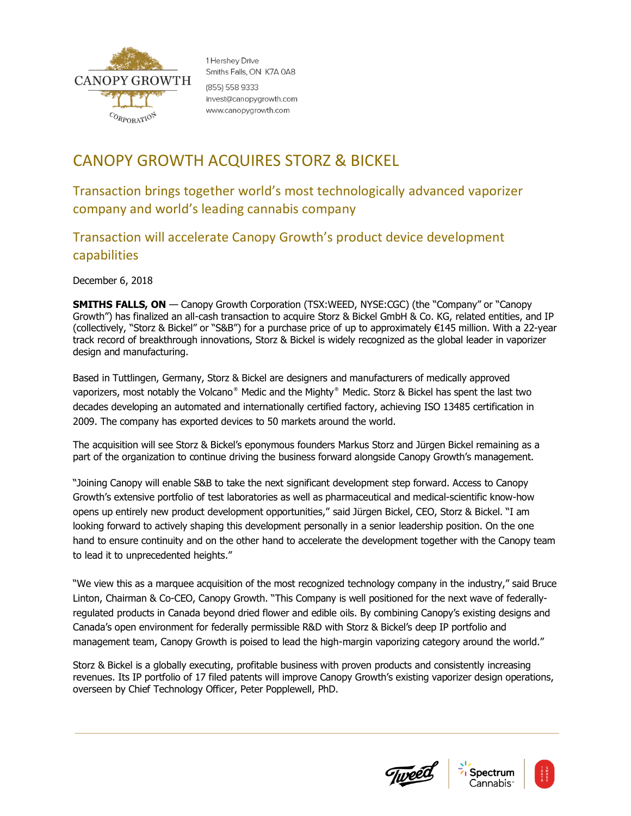

1 Hershev Drive Smiths Falls, ON K7A 0A8 (855) 558 9333 invest@canopygrowth.com www.canopygrowth.com

## CANOPY GROWTH ACQUIRES STORZ & BICKEL

Transaction brings together world's most technologically advanced vaporizer company and world's leading cannabis company

Transaction will accelerate Canopy Growth's product device development capabilities

December 6, 2018

**SMITHS FALLS, ON** — Canopy Growth Corporation (TSX:WEED, NYSE:CGC) (the "Company" or "Canopy Growth") has finalized an all-cash transaction to acquire Storz & Bickel GmbH & Co. KG, related entities, and IP (collectively, "Storz & Bickel" or "S&B") for a purchase price of up to approximately €145 million. With a 22-year track record of breakthrough innovations, Storz & Bickel is widely recognized as the global leader in vaporizer design and manufacturing.

Based in Tuttlingen, Germany, Storz & Bickel are designers and manufacturers of medically approved vaporizers, most notably the Volcano® Medic and the Mighty® Medic. Storz & Bickel has spent the last two decades developing an automated and internationally certified factory, achieving ISO 13485 certification in 2009. The company has exported devices to 50 markets around the world.

The acquisition will see Storz & Bickel's eponymous founders Markus Storz and Jürgen Bickel remaining as a part of the organization to continue driving the business forward alongside Canopy Growth's management.

"Joining Canopy will enable S&B to take the next significant development step forward. Access to Canopy Growth's extensive portfolio of test laboratories as well as pharmaceutical and medical-scientific know-how opens up entirely new product development opportunities," said Jürgen Bickel, CEO, Storz & Bickel. "I am looking forward to actively shaping this development personally in a senior leadership position. On the one hand to ensure continuity and on the other hand to accelerate the development together with the Canopy team to lead it to unprecedented heights."

"We view this as a marquee acquisition of the most recognized technology company in the industry," said Bruce Linton, Chairman & Co-CEO, Canopy Growth. "This Company is well positioned for the next wave of federallyregulated products in Canada beyond dried flower and edible oils. By combining Canopy's existing designs and Canada's open environment for federally permissible R&D with Storz & Bickel's deep IP portfolio and management team, Canopy Growth is poised to lead the high-margin vaporizing category around the world."

Storz & Bickel is a globally executing, profitable business with proven products and consistently increasing revenues. Its IP portfolio of 17 filed patents will improve Canopy Growth's existing vaporizer design operations, overseen by Chief Technology Officer, Peter Popplewell, PhD.





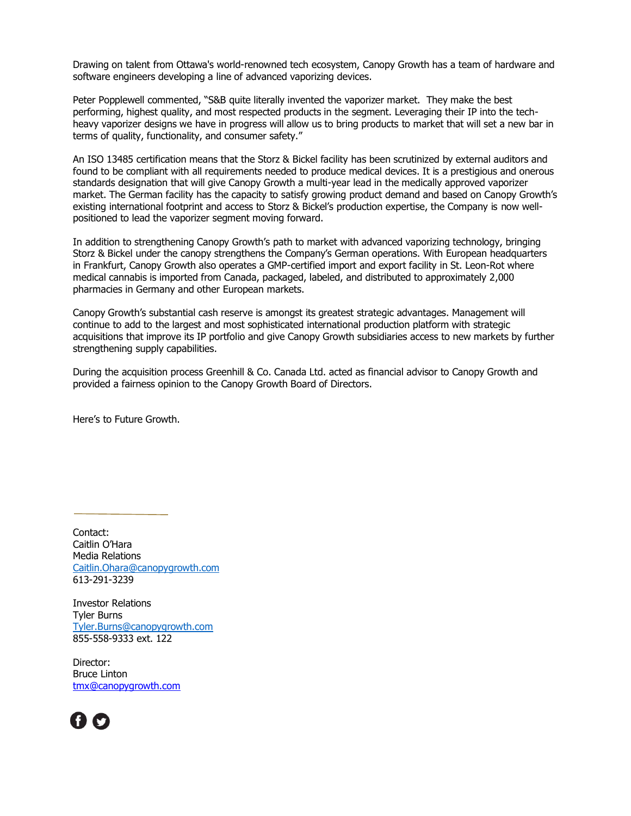Drawing on talent from Ottawa's world-renowned tech ecosystem, Canopy Growth has a team of hardware and software engineers developing a line of advanced vaporizing devices.

Peter Popplewell commented, "S&B quite literally invented the vaporizer market. They make the best performing, highest quality, and most respected products in the segment. Leveraging their IP into the techheavy vaporizer designs we have in progress will allow us to bring products to market that will set a new bar in terms of quality, functionality, and consumer safety."

An ISO 13485 certification means that the Storz & Bickel facility has been scrutinized by external auditors and found to be compliant with all requirements needed to produce medical devices. It is a prestigious and onerous standards designation that will give Canopy Growth a multi-year lead in the medically approved vaporizer market. The German facility has the capacity to satisfy growing product demand and based on Canopy Growth's existing international footprint and access to Storz & Bickel's production expertise, the Company is now wellpositioned to lead the vaporizer segment moving forward.

In addition to strengthening Canopy Growth's path to market with advanced vaporizing technology, bringing Storz & Bickel under the canopy strengthens the Company's German operations. With European headquarters in Frankfurt, Canopy Growth also operates a GMP-certified import and export facility in St. Leon-Rot where medical cannabis is imported from Canada, packaged, labeled, and distributed to approximately 2,000 pharmacies in Germany and other European markets.

Canopy Growth's substantial cash reserve is amongst its greatest strategic advantages. Management will continue to add to the largest and most sophisticated international production platform with strategic acquisitions that improve its IP portfolio and give Canopy Growth subsidiaries access to new markets by further strengthening supply capabilities.

During the acquisition process Greenhill & Co. Canada Ltd. acted as financial advisor to Canopy Growth and provided a fairness opinion to the Canopy Growth Board of Directors.

Here's to Future Growth.

Contact: Caitlin O'Hara Media Relations [Caitlin.Ohara@canopygrowth.com](mailto:Caitlin.Ohara@canopygrowth.com) 613-291-3239

Investor Relations Tyler Burns [Tyler.Burns@canopygrowth.com](mailto:Tyler.Burns@canopygrowth.com) 855-558-9333 ext. 122

Director: Bruce Linton [tmx@canopygrowth.com](mailto:tmx@canopygrowth.com)